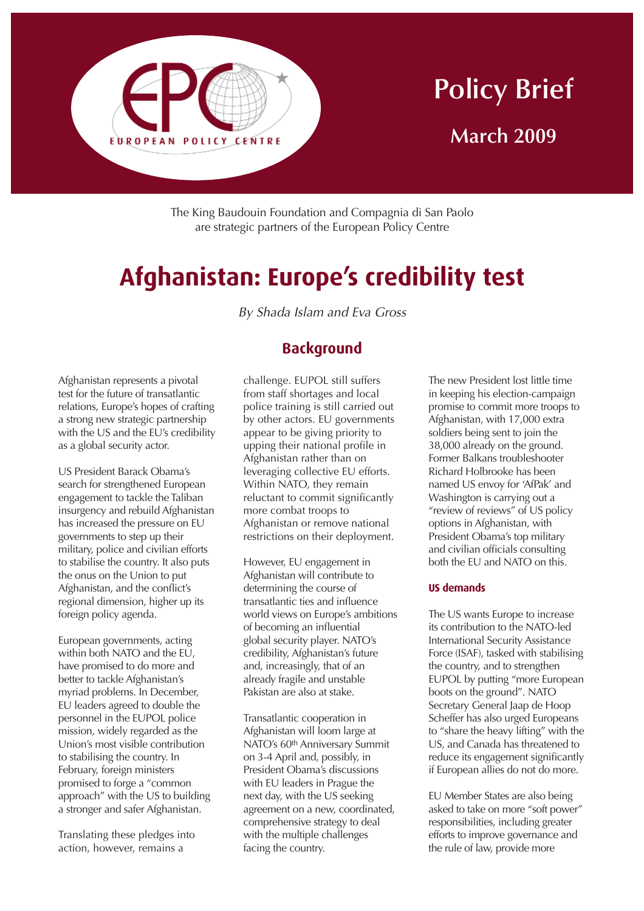

# **Policy Brief March 2009**

The King Baudouin Foundation and Compagnia di San Paolo are strategic partners of the European Policy Centre

# **Afghanistan: Europe's credibility test**

By Shada Islam and Eva Gross

**Background**

Afghanistan represents a pivotal test for the future of transatlantic relations, Europe's hopes of crafting a strong new strategic partnership with the US and the EU's credibility as a global security actor.

US President Barack Obama's search for strengthened European engagement to tackle the Taliban insurgency and rebuild Afghanistan has increased the pressure on EU governments to step up their military, police and civilian efforts to stabilise the country. It also puts the onus on the Union to put Afghanistan, and the conflict's regional dimension, higher up its foreign policy agenda.

European governments, acting within both NATO and the EU, have promised to do more and better to tackle Afghanistan's myriad problems. In December, EU leaders agreed to double the personnel in the EUPOL police mission, widely regarded as the Union's most visible contribution to stabilising the country. In February, foreign ministers promised to forge a "common approach" with the US to building a stronger and safer Afghanistan.

Translating these pledges into action, however, remains a

challenge. EUPOL still suffers from staff shortages and local police training is still carried out by other actors. EU governments appear to be giving priority to upping their national profile in Afghanistan rather than on leveraging collective EU efforts. Within NATO, they remain reluctant to commit significantly

more combat troops to Afghanistan or remove national restrictions on their deployment.

However, EU engagement in Afghanistan will contribute to determining the course of transatlantic ties and influence world views on Europe's ambitions of becoming an influential global security player. NATO's credibility, Afghanistan's future and, increasingly, that of an already fragile and unstable Pakistan are also at stake.

Transatlantic cooperation in Afghanistan will loom large at NATO's 60th Anniversary Summit on 3-4 April and, possibly, in President Obama's discussions with EU leaders in Prague the next day, with the US seeking agreement on a new, coordinated, comprehensive strategy to deal with the multiple challenges facing the country.

The new President lost little time in keeping his election-campaign promise to commit more troops to Afghanistan, with 17,000 extra soldiers being sent to join the 38,000 already on the ground. Former Balkans troubleshooter Richard Holbrooke has been named US envoy for 'AfPak' and Washington is carrying out a "review of reviews" of US policy options in Afghanistan, with President Obama's top military and civilian officials consulting both the EU and NATO on this.

#### **US demands**

The US wants Europe to increase its contribution to the NATO-led International Security Assistance Force (ISAF), tasked with stabilising the country, and to strengthen EUPOL by putting "more European boots on the ground". NATO Secretary General Jaap de Hoop Scheffer has also urged Europeans to "share the heavy lifting" with the US, and Canada has threatened to reduce its engagement significantly if European allies do not do more.

EU Member States are also being asked to take on more "soft power" responsibilities, including greater efforts to improve governance and the rule of law, provide more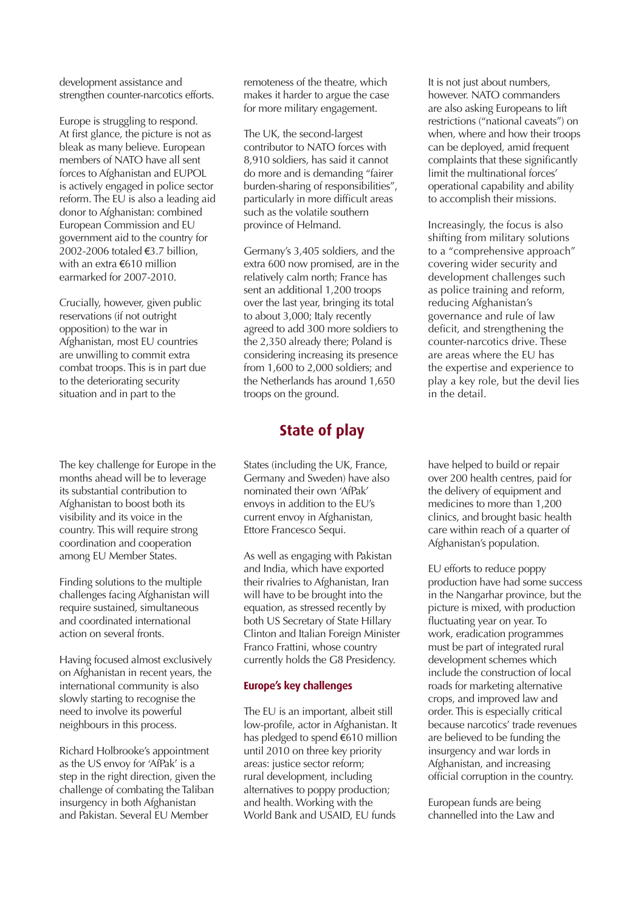development assistance and strengthen counter-narcotics efforts.

Europe is struggling to respond. At first glance, the picture is not as bleak as many believe. European members of NATO have all sent forces to Afghanistan and EUPOL is actively engaged in police sector reform. The EU is also a leading aid donor to Afghanistan: combined European Commission and EU government aid to the country for 2002-2006 totaled €3.7 billion, with an extra €610 million earmarked for 2007-2010.

Crucially, however, given public reservations (if not outright opposition) to the war in Afghanistan, most EU countries are unwilling to commit extra combat troops. This is in part due to the deteriorating security situation and in part to the

The key challenge for Europe in the months ahead will be to leverage its substantial contribution to Afghanistan to boost both its visibility and its voice in the country. This will require strong coordination and cooperation among EU Member States.

Finding solutions to the multiple challenges facing Afghanistan will require sustained, simultaneous and coordinated international action on several fronts.

Having focused almost exclusively on Afghanistan in recent years, the international community is also slowly starting to recognise the need to involve its powerful neighbours in this process.

Richard Holbrooke's appointment as the US envoy for 'AfPak' is a step in the right direction, given the challenge of combating the Taliban insurgency in both Afghanistan and Pakistan. Several EU Member

remoteness of the theatre, which makes it harder to argue the case for more military engagement.

The UK, the second-largest contributor to NATO forces with 8,910 soldiers, has said it cannot do more and is demanding "fairer burden-sharing of responsibilities", particularly in more difficult areas such as the volatile southern province of Helmand.

Germany's 3,405 soldiers, and the extra 600 now promised, are in the relatively calm north; France has sent an additional 1,200 troops over the last year, bringing its total to about 3,000; Italy recently agreed to add 300 more soldiers to the 2,350 already there; Poland is considering increasing its presence from 1,600 to 2,000 soldiers; and the Netherlands has around 1,650 troops on the ground.

## **State of play**

States (including the UK, France, Germany and Sweden) have also nominated their own 'AfPak' envoys in addition to the EU's current envoy in Afghanistan, Ettore Francesco Sequi.

As well as engaging with Pakistan and India, which have exported their rivalries to Afghanistan, Iran will have to be brought into the equation, as stressed recently by both US Secretary of State Hillary Clinton and Italian Foreign Minister Franco Frattini, whose country currently holds the G8 Presidency.

#### **Europe's key challenges**

The EU is an important, albeit still low-profile, actor in Afghanistan. It has pledged to spend €610 million until 2010 on three key priority areas: justice sector reform; rural development, including alternatives to poppy production; and health. Working with the World Bank and USAID, EU funds

It is not just about numbers, however. NATO commanders are also asking Europeans to lift restrictions ("national caveats") on when, where and how their troops can be deployed, amid frequent complaints that these significantly limit the multinational forces' operational capability and ability to accomplish their missions.

Increasingly, the focus is also shifting from military solutions to a "comprehensive approach" covering wider security and development challenges such as police training and reform, reducing Afghanistan's governance and rule of law deficit, and strengthening the counter-narcotics drive. These are areas where the EU has the expertise and experience to play a key role, but the devil lies in the detail.

have helped to build or repair over 200 health centres, paid for the delivery of equipment and medicines to more than 1,200 clinics, and brought basic health care within reach of a quarter of Afghanistan's population.

EU efforts to reduce poppy production have had some success in the Nangarhar province, but the picture is mixed, with production fluctuating year on year. To work, eradication programmes must be part of integrated rural development schemes which include the construction of local roads for marketing alternative crops, and improved law and order. This is especially critical because narcotics' trade revenues are believed to be funding the insurgency and war lords in Afghanistan, and increasing official corruption in the country.

European funds are being channelled into the Law and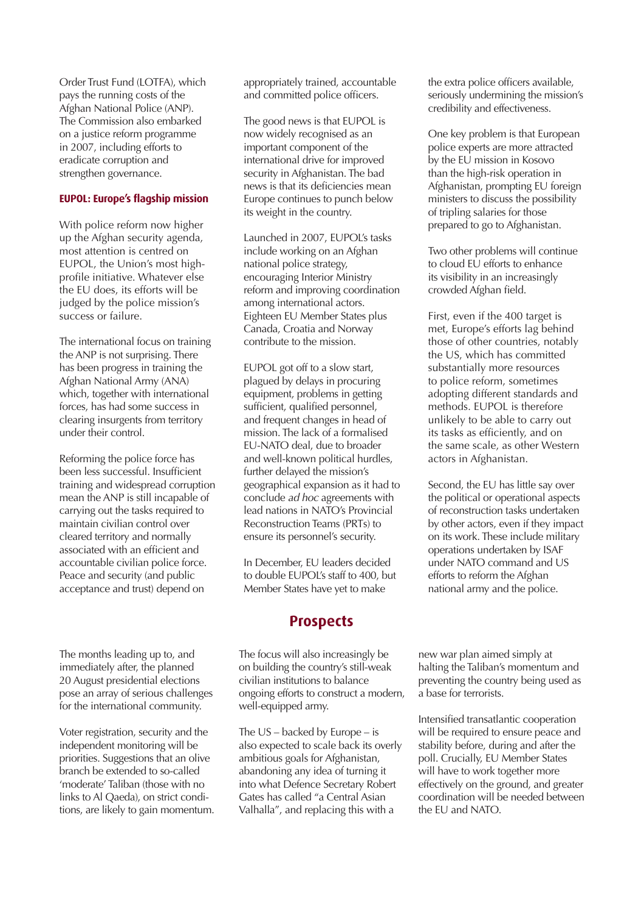Order Trust Fund (LOTFA), which pays the running costs of the Afghan National Police (ANP). The Commission also embarked on a justice reform programme in 2007, including efforts to eradicate corruption and strengthen governance.

#### **EUPOL: Europe's flagship mission**

With police reform now higher up the Afghan security agenda, most attention is centred on EUPOL, the Union's most highprofile initiative. Whatever else the EU does, its efforts will be judged by the police mission's success or failure.

The international focus on training the ANP is not surprising. There has been progress in training the Afghan National Army (ANA) which, together with international forces, has had some success in clearing insurgents from territory under their control.

Reforming the police force has been less successful. Insufficient training and widespread corruption mean the ANP is still incapable of carrying out the tasks required to maintain civilian control over cleared territory and normally associated with an efficient and accountable civilian police force. Peace and security (and public acceptance and trust) depend on

The months leading up to, and immediately after, the planned 20 August presidential elections pose an array of serious challenges for the international community.

Voter registration, security and the independent monitoring will be priorities. Suggestions that an olive branch be extended to so-called 'moderate' Taliban (those with no links to Al Qaeda), on strict conditions, are likely to gain momentum. appropriately trained, accountable and committed police officers.

The good news is that EUPOL is now widely recognised as an important component of the international drive for improved security in Afghanistan. The bad news is that its deficiencies mean Europe continues to punch below its weight in the country.

Launched in 2007, EUPOL's tasks include working on an Afghan national police strategy, encouraging Interior Ministry reform and improving coordination among international actors. Eighteen EU Member States plus Canada, Croatia and Norway contribute to the mission.

EUPOL got off to a slow start, plagued by delays in procuring equipment, problems in getting sufficient, qualified personnel, and frequent changes in head of mission. The lack of a formalised EU-NATO deal, due to broader and well-known political hurdles, further delayed the mission's geographical expansion as it had to conclude ad hoc agreements with lead nations in NATO's Provincial Reconstruction Teams (PRTs) to ensure its personnel's security.

In December, EU leaders decided to double EUPOL's staff to 400, but Member States have yet to make

### **Prospects**

The focus will also increasingly be on building the country's still-weak civilian institutions to balance ongoing efforts to construct a modern, well-equipped army.

The US – backed by Europe – is also expected to scale back its overly ambitious goals for Afghanistan, abandoning any idea of turning it into what Defence Secretary Robert Gates has called "a Central Asian Valhalla", and replacing this with a

the extra police officers available, seriously undermining the mission's credibility and effectiveness.

One key problem is that European police experts are more attracted by the EU mission in Kosovo than the high-risk operation in Afghanistan, prompting EU foreign ministers to discuss the possibility of tripling salaries for those prepared to go to Afghanistan.

Two other problems will continue to cloud EU efforts to enhance its visibility in an increasingly crowded Afghan field.

First, even if the 400 target is met, Europe's efforts lag behind those of other countries, notably the US, which has committed substantially more resources to police reform, sometimes adopting different standards and methods. EUPOL is therefore unlikely to be able to carry out its tasks as efficiently, and on the same scale, as other Western actors in Afghanistan.

Second, the EU has little say over the political or operational aspects of reconstruction tasks undertaken by other actors, even if they impact on its work. These include military operations undertaken by ISAF under NATO command and US efforts to reform the Afghan national army and the police.

new war plan aimed simply at halting the Taliban's momentum and preventing the country being used as a base for terrorists.

Intensified transatlantic cooperation will be required to ensure peace and stability before, during and after the poll. Crucially, EU Member States will have to work together more effectively on the ground, and greater coordination will be needed between the EU and NATO.